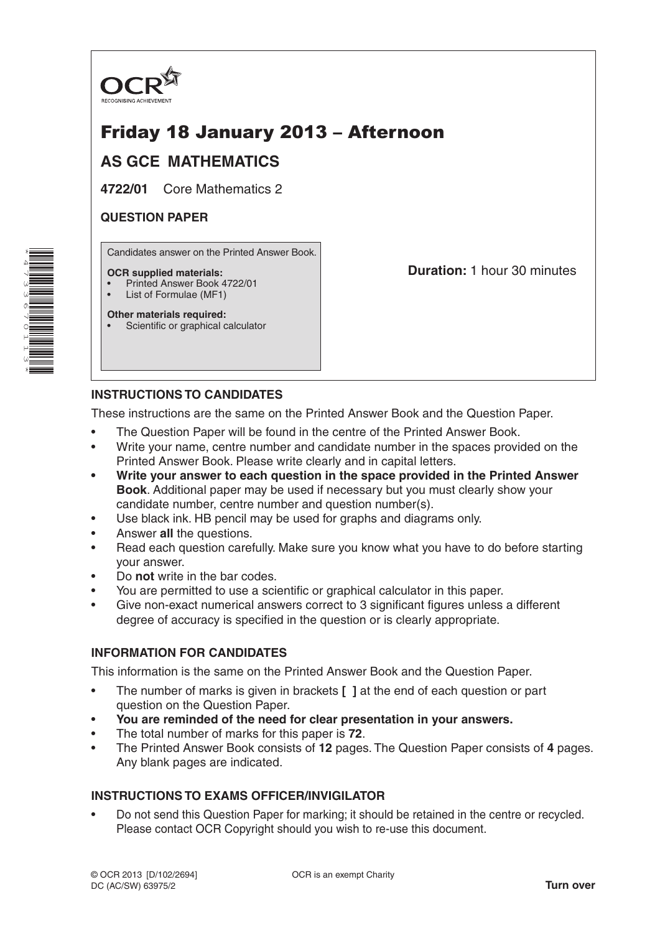

# Friday 18 January 2013 – Afternoon

# **AS GCE MATHEMATICS**

**4722/01** Core Mathematics 2

## **QUESTION PAPER**

Candidates answer on the Printed Answer Book.

#### **OCR supplied materials:**

- Printed Answer Book 4722/01
- List of Formulae (MF1)

**Other materials required:** Scientific or graphical calculator **Duration:** 1 hour 30 minutes

# **INSTRUCTIONS TO CANDIDATES**

These instructions are the same on the Printed Answer Book and the Question Paper.

- The Question Paper will be found in the centre of the Printed Answer Book.
- Write your name, centre number and candidate number in the spaces provided on the Printed Answer Book. Please write clearly and in capital letters.
- **• Write your answer to each question in the space provided in the Printed Answer Book**. Additional paper may be used if necessary but you must clearly show your candidate number, centre number and question number(s).
- Use black ink. HB pencil may be used for graphs and diagrams only.
- Answer **all** the questions.
- Read each question carefully. Make sure you know what you have to do before starting your answer.
- Do **not** write in the bar codes.
- You are permitted to use a scientific or graphical calculator in this paper.
- Give non-exact numerical answers correct to 3 significant figures unless a different degree of accuracy is specified in the question or is clearly appropriate.

## **INFORMATION FOR CANDIDATES**

This information is the same on the Printed Answer Book and the Question Paper.

- The number of marks is given in brackets **[ ]** at the end of each question or part question on the Question Paper.
- **You are reminded of the need for clear presentation in your answers.**
- The total number of marks for this paper is **72**.
- The Printed Answer Book consists of **12** pages. The Question Paper consists of **4** pages. Any blank pages are indicated.

## **INSTRUCTIONS TO EXAMS OFFICER/INVIGILATOR**

• Do not send this Question Paper for marking; it should be retained in the centre or recycled. Please contact OCR Copyright should you wish to re-use this document.

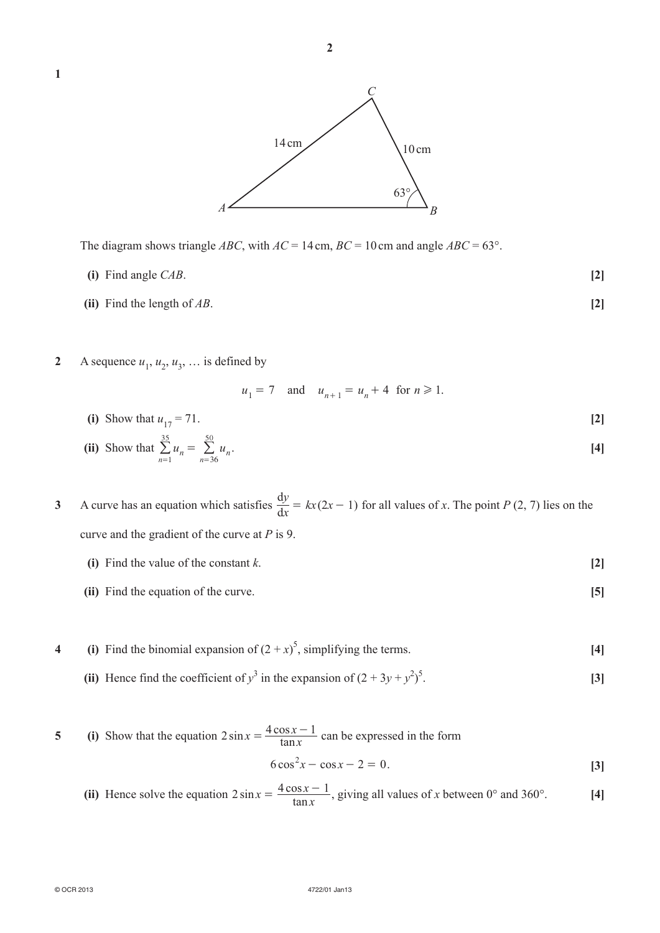

The diagram shows triangle *ABC*, with  $AC = 14$  cm,  $BC = 10$  cm and angle  $ABC = 63^{\circ}$ .

- $\textbf{(i)}$  Find angle *CAB*.  $\textbf{(2)}$
- **(ii)** Find the length of  $AB$ . **[2]**

**1**

**2** A sequence  $u_1$ ,  $u_2$ ,  $u_3$ , ... is defined by

 $= 1$   $n=$ 

 $u_1 = 7$  and  $u_{n+1} = u_n + 4$  for  $n \ge 1$ . (i) Show that  $u_{17} = 71$ . [2]

(ii) Show that 
$$
\sum_{n=1}^{35} u_n = \sum_{n=36}^{50} u_n.
$$
 [4]

- **3** A curve has an equation which satisfies  $\frac{dy}{dx} = kx(2x 1)$  for all values of *x*. The point *P* (2, 7) lies on the curve and the gradient of the curve at *P* is 9.
	- **(i)** Find the value of the constant  $k$ . **[2]**
	- **(ii)** Find the equation of the curve. **[5]**
- **4** (i) Find the binomial expansion of  $(2 + x)^5$ , simplifying the terms. [4]
- (ii) Hence find the coefficient of  $y^3$  in the expansion of  $(2 + 3y + y^2)^5$ . **[3]**

5 (i) Show that the equation 
$$
2\sin x = \frac{4\cos x - 1}{\tan x}
$$
 can be expressed in the form  

$$
6\cos^2 x - \cos x - 2 = 0.
$$
 [3]

**(ii)** Hence solve the equation  $2 \sin x = \frac{4 \cos x}{\tan x}$  $2\sin x = \frac{4\cos x - 1}{\tan x}$ , giving all values of *x* between 0° and 360°. **[4]**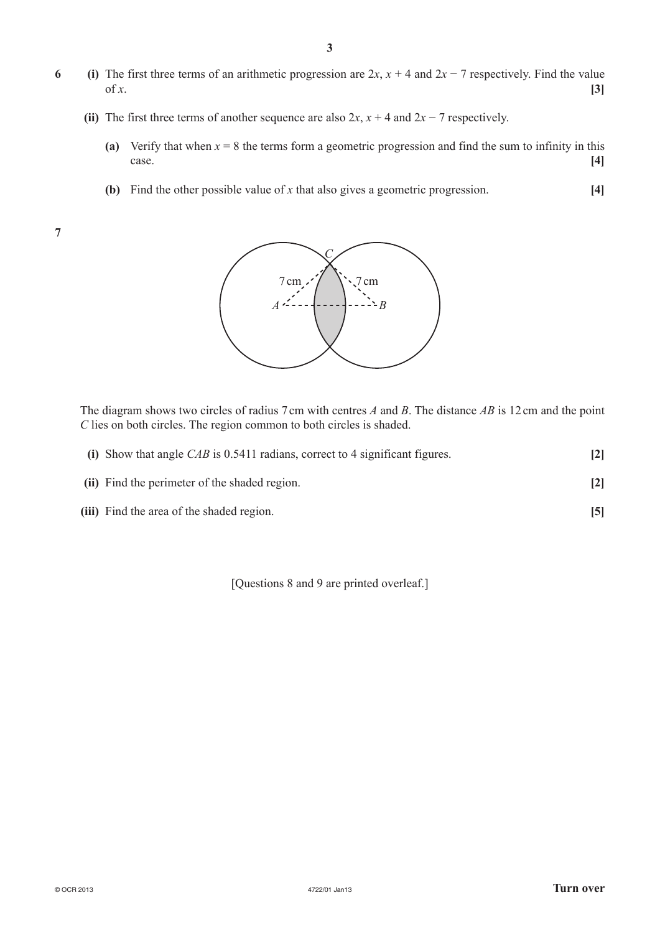- **6** (i) The first three terms of an arithmetic progression are  $2x$ ,  $x + 4$  and  $2x 7$  respectively. Find the value of *x*. [3]
	- **(ii)** The first three terms of another sequence are also  $2x$ ,  $x + 4$  and  $2x 7$  respectively.
		- **(a)** Verify that when  $x = 8$  the terms form a geometric progression and find the sum to infinity in this case. **[4]**
		- **(b)** Find the other possible value of *x* that also gives a geometric progression.  $[4]$

**7**



The diagram shows two circles of radius 7cm with centres *A* and *B*. The distance *AB* is 12cm and the point *C* lies on both circles. The region common to both circles is shaded.

| (i) Show that angle $CAB$ is 0.5411 radians, correct to 4 significant figures. | $\lceil 2 \rceil$ |
|--------------------------------------------------------------------------------|-------------------|
| (ii) Find the perimeter of the shaded region.                                  | $\lceil 2 \rceil$ |
| (iii) Find the area of the shaded region.                                      | $\sqrt{5}$        |

[Questions 8 and 9 are printed overleaf.]